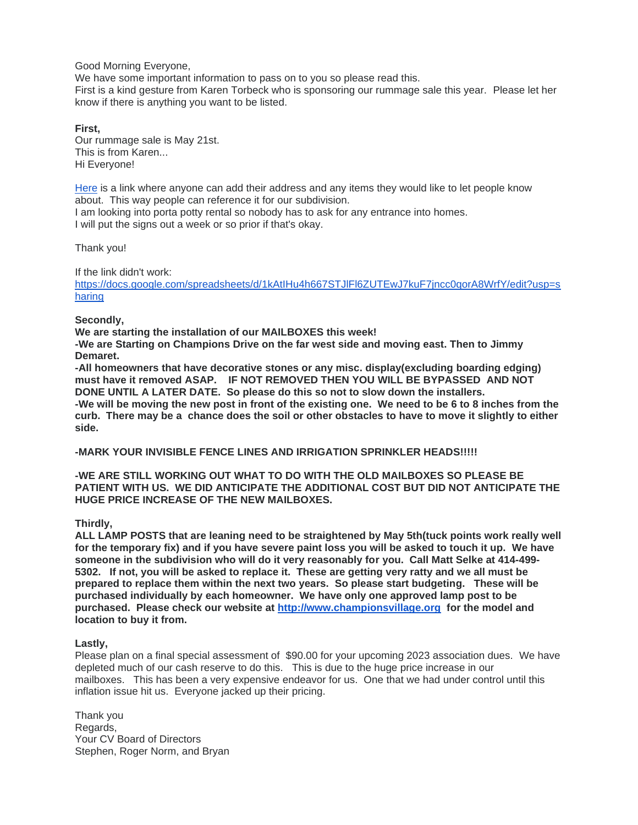Good Morning Everyone,

We have some important information to pass on to you so please read this. First is a kind gesture from Karen Torbeck who is sponsoring our rummage sale this year. Please let her know if there is anything you want to be listed.

**First,** Our rummage sale is May 21st. This is from Karen... Hi Everyone!

[Here](https://docs.google.com/spreadsheets/d/1kAtIHu4h667STJlFl6ZUTEwJ7kuF7jncc0qorA8WrfY/edit?usp=sharing) is a link where anyone can add their address and any items they would like to let people know about. This way people can reference it for our subdivision. I am looking into porta potty rental so nobody has to ask for any entrance into homes. I will put the signs out a week or so prior if that's okay.

Thank you!

If the link didn't work:

[https://docs.google.com/spreadsheets/d/1kAtIHu4h667STJlFl6ZUTEwJ7kuF7jncc0qorA8WrfY/edit?usp=s](https://docs.google.com/spreadsheets/d/1kAtIHu4h667STJlFl6ZUTEwJ7kuF7jncc0qorA8WrfY/edit?usp=sharing) [haring](https://docs.google.com/spreadsheets/d/1kAtIHu4h667STJlFl6ZUTEwJ7kuF7jncc0qorA8WrfY/edit?usp=sharing)

**Secondly,**

**We are starting the installation of our MAILBOXES this week!**

**-We are Starting on Champions Drive on the far west side and moving east. Then to Jimmy Demaret.**

**-All homeowners that have decorative stones or any misc. display(excluding boarding edging) must have it removed ASAP. IF NOT REMOVED THEN YOU WILL BE BYPASSED AND NOT DONE UNTIL A LATER DATE. So please do this so not to slow down the installers. -We will be moving the new post in front of the existing one. We need to be 6 to 8 inches from the curb. There may be a chance does the soil or other obstacles to have to move it slightly to either side.**

**-MARK YOUR INVISIBLE FENCE LINES AND IRRIGATION SPRINKLER HEADS!!!!!**

**-WE ARE STILL WORKING OUT WHAT TO DO WITH THE OLD MAILBOXES SO PLEASE BE PATIENT WITH US. WE DID ANTICIPATE THE ADDITIONAL COST BUT DID NOT ANTICIPATE THE HUGE PRICE INCREASE OF THE NEW MAILBOXES.**

**Thirdly,**

**ALL LAMP POSTS that are leaning need to be straightened by May 5th(tuck points work really well for the temporary fix) and if you have severe paint loss you will be asked to touch it up. We have someone in the subdivision who will do it very reasonably for you. Call Matt Selke at 414-499- 5302. If not, you will be asked to replace it. These are getting very ratty and we all must be prepared to replace them within the next two years. So please start budgeting. These will be purchased individually by each homeowner. We have only one approved lamp post to be purchased. Please check our website at [http://www.championsvillage.org](http://www.championsvillage.org/) for the model and location to buy it from.** 

## **Lastly,**

Please plan on a final special assessment of \$90.00 for your upcoming 2023 association dues. We have depleted much of our cash reserve to do this. This is due to the huge price increase in our mailboxes. This has been a very expensive endeavor for us. One that we had under control until this inflation issue hit us. Everyone jacked up their pricing.

Thank you Regards, Your CV Board of Directors Stephen, Roger Norm, and Bryan